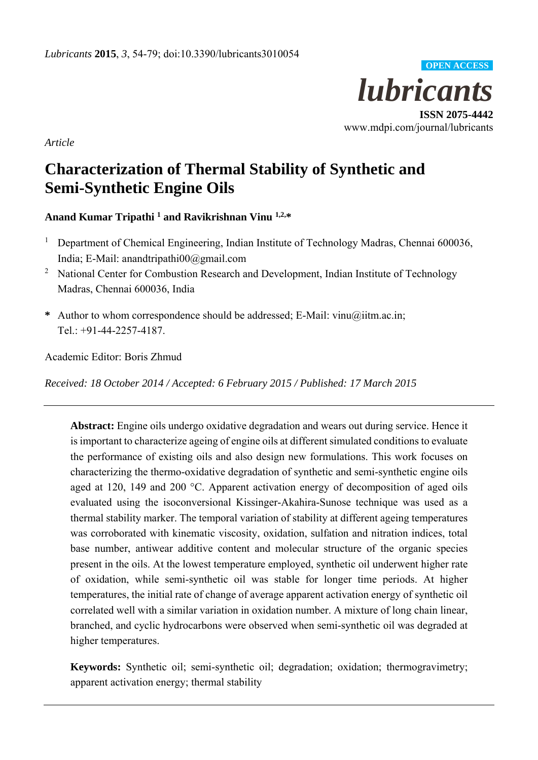

**ISSN 2075-4442**  www.mdpi.com/journal/lubricants

*Article* 

# **Characterization of Thermal Stability of Synthetic and Semi-Synthetic Engine Oils**

# **Anand Kumar Tripathi 1 and Ravikrishnan Vinu 1,2,\***

- 1 Department of Chemical Engineering, Indian Institute of Technology Madras, Chennai 600036, India; E-Mail: anandtripathi00@gmail.com
- <sup>2</sup> National Center for Combustion Research and Development, Indian Institute of Technology Madras, Chennai 600036, India
- **\*** Author to whom correspondence should be addressed; E-Mail: vinu@iitm.ac.in; Tel.: +91-44-2257-4187.

Academic Editor: Boris Zhmud

*Received: 18 October 2014 / Accepted: 6 February 2015 / Published: 17 March 2015* 

**Abstract:** Engine oils undergo oxidative degradation and wears out during service. Hence it is important to characterize ageing of engine oils at different simulated conditions to evaluate the performance of existing oils and also design new formulations. This work focuses on characterizing the thermo-oxidative degradation of synthetic and semi-synthetic engine oils aged at 120, 149 and 200 °C. Apparent activation energy of decomposition of aged oils evaluated using the isoconversional Kissinger-Akahira-Sunose technique was used as a thermal stability marker. The temporal variation of stability at different ageing temperatures was corroborated with kinematic viscosity, oxidation, sulfation and nitration indices, total base number, antiwear additive content and molecular structure of the organic species present in the oils. At the lowest temperature employed, synthetic oil underwent higher rate of oxidation, while semi-synthetic oil was stable for longer time periods. At higher temperatures, the initial rate of change of average apparent activation energy of synthetic oil correlated well with a similar variation in oxidation number. A mixture of long chain linear, branched, and cyclic hydrocarbons were observed when semi-synthetic oil was degraded at higher temperatures.

**Keywords:** Synthetic oil; semi-synthetic oil; degradation; oxidation; thermogravimetry; apparent activation energy; thermal stability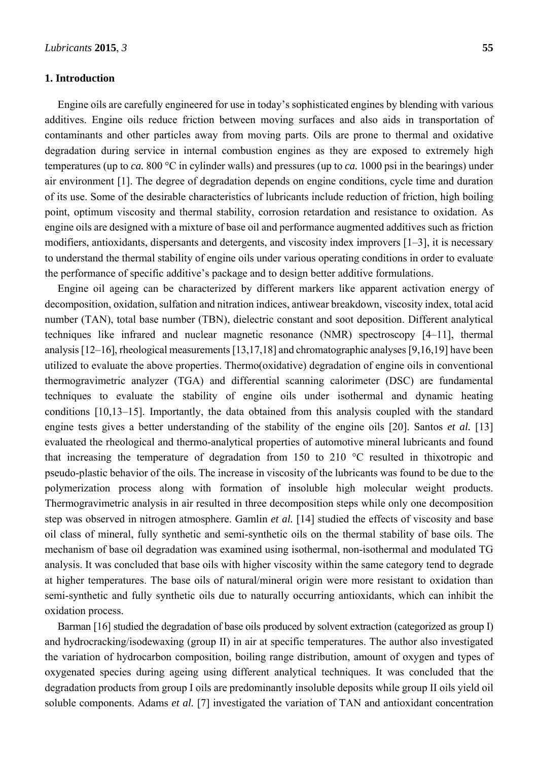# **1. Introduction**

Engine oils are carefully engineered for use in today's sophisticated engines by blending with various additives. Engine oils reduce friction between moving surfaces and also aids in transportation of contaminants and other particles away from moving parts. Oils are prone to thermal and oxidative degradation during service in internal combustion engines as they are exposed to extremely high temperatures (up to *ca.* 800 °C in cylinder walls) and pressures (up to *ca.* 1000 psi in the bearings) under air environment [1]. The degree of degradation depends on engine conditions, cycle time and duration of its use. Some of the desirable characteristics of lubricants include reduction of friction, high boiling point, optimum viscosity and thermal stability, corrosion retardation and resistance to oxidation. As engine oils are designed with a mixture of base oil and performance augmented additives such as friction modifiers, antioxidants, dispersants and detergents, and viscosity index improvers [1–3], it is necessary to understand the thermal stability of engine oils under various operating conditions in order to evaluate the performance of specific additive's package and to design better additive formulations.

Engine oil ageing can be characterized by different markers like apparent activation energy of decomposition, oxidation, sulfation and nitration indices, antiwear breakdown, viscosity index, total acid number (TAN), total base number (TBN), dielectric constant and soot deposition. Different analytical techniques like infrared and nuclear magnetic resonance (NMR) spectroscopy [4–11], thermal analysis [12–16], rheological measurements [13,17,18] and chromatographic analyses [9,16,19] have been utilized to evaluate the above properties. Thermo(oxidative) degradation of engine oils in conventional thermogravimetric analyzer (TGA) and differential scanning calorimeter (DSC) are fundamental techniques to evaluate the stability of engine oils under isothermal and dynamic heating conditions [10,13–15]. Importantly, the data obtained from this analysis coupled with the standard engine tests gives a better understanding of the stability of the engine oils [20]. Santos *et al.* [13] evaluated the rheological and thermo-analytical properties of automotive mineral lubricants and found that increasing the temperature of degradation from 150 to 210 °C resulted in thixotropic and pseudo-plastic behavior of the oils. The increase in viscosity of the lubricants was found to be due to the polymerization process along with formation of insoluble high molecular weight products. Thermogravimetric analysis in air resulted in three decomposition steps while only one decomposition step was observed in nitrogen atmosphere. Gamlin *et al.* [14] studied the effects of viscosity and base oil class of mineral, fully synthetic and semi-synthetic oils on the thermal stability of base oils. The mechanism of base oil degradation was examined using isothermal, non-isothermal and modulated TG analysis. It was concluded that base oils with higher viscosity within the same category tend to degrade at higher temperatures. The base oils of natural/mineral origin were more resistant to oxidation than semi-synthetic and fully synthetic oils due to naturally occurring antioxidants, which can inhibit the oxidation process.

Barman [16] studied the degradation of base oils produced by solvent extraction (categorized as group I) and hydrocracking/isodewaxing (group II) in air at specific temperatures. The author also investigated the variation of hydrocarbon composition, boiling range distribution, amount of oxygen and types of oxygenated species during ageing using different analytical techniques. It was concluded that the degradation products from group I oils are predominantly insoluble deposits while group II oils yield oil soluble components. Adams *et al.* [7] investigated the variation of TAN and antioxidant concentration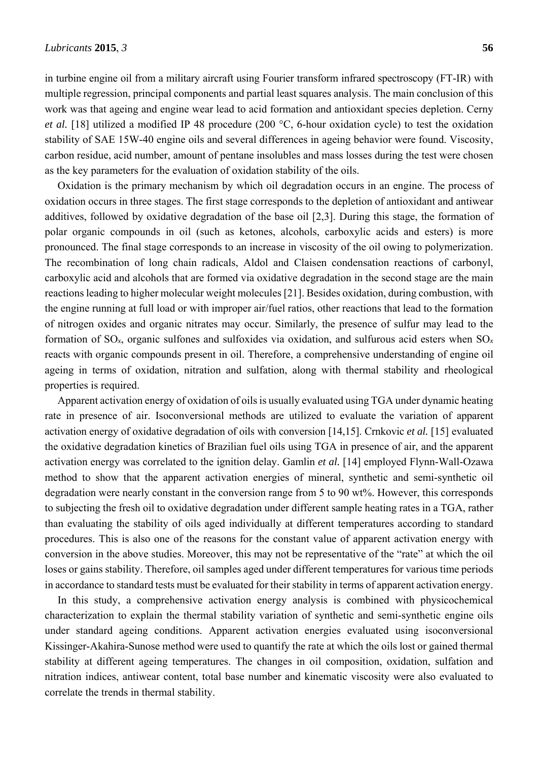in turbine engine oil from a military aircraft using Fourier transform infrared spectroscopy (FT-IR) with multiple regression, principal components and partial least squares analysis. The main conclusion of this work was that ageing and engine wear lead to acid formation and antioxidant species depletion. Cerny *et al.* [18] utilized a modified IP 48 procedure (200 °C, 6-hour oxidation cycle) to test the oxidation stability of SAE 15W-40 engine oils and several differences in ageing behavior were found. Viscosity, carbon residue, acid number, amount of pentane insolubles and mass losses during the test were chosen as the key parameters for the evaluation of oxidation stability of the oils.

Oxidation is the primary mechanism by which oil degradation occurs in an engine. The process of oxidation occurs in three stages. The first stage corresponds to the depletion of antioxidant and antiwear additives, followed by oxidative degradation of the base oil [2,3]. During this stage, the formation of polar organic compounds in oil (such as ketones, alcohols, carboxylic acids and esters) is more pronounced. The final stage corresponds to an increase in viscosity of the oil owing to polymerization. The recombination of long chain radicals, Aldol and Claisen condensation reactions of carbonyl, carboxylic acid and alcohols that are formed via oxidative degradation in the second stage are the main reactions leading to higher molecular weight molecules [21]. Besides oxidation, during combustion, with the engine running at full load or with improper air/fuel ratios, other reactions that lead to the formation of nitrogen oxides and organic nitrates may occur. Similarly, the presence of sulfur may lead to the formation of SO*x*, organic sulfones and sulfoxides via oxidation, and sulfurous acid esters when SO*<sup>x</sup>* reacts with organic compounds present in oil. Therefore, a comprehensive understanding of engine oil ageing in terms of oxidation, nitration and sulfation, along with thermal stability and rheological properties is required.

Apparent activation energy of oxidation of oils is usually evaluated using TGA under dynamic heating rate in presence of air. Isoconversional methods are utilized to evaluate the variation of apparent activation energy of oxidative degradation of oils with conversion [14,15]. Crnkovic *et al.* [15] evaluated the oxidative degradation kinetics of Brazilian fuel oils using TGA in presence of air, and the apparent activation energy was correlated to the ignition delay. Gamlin *et al.* [14] employed Flynn-Wall-Ozawa method to show that the apparent activation energies of mineral, synthetic and semi-synthetic oil degradation were nearly constant in the conversion range from 5 to 90 wt%. However, this corresponds to subjecting the fresh oil to oxidative degradation under different sample heating rates in a TGA, rather than evaluating the stability of oils aged individually at different temperatures according to standard procedures. This is also one of the reasons for the constant value of apparent activation energy with conversion in the above studies. Moreover, this may not be representative of the "rate" at which the oil loses or gains stability. Therefore, oil samples aged under different temperatures for various time periods in accordance to standard tests must be evaluated for their stability in terms of apparent activation energy.

In this study, a comprehensive activation energy analysis is combined with physicochemical characterization to explain the thermal stability variation of synthetic and semi-synthetic engine oils under standard ageing conditions. Apparent activation energies evaluated using isoconversional Kissinger-Akahira-Sunose method were used to quantify the rate at which the oils lost or gained thermal stability at different ageing temperatures. The changes in oil composition, oxidation, sulfation and nitration indices, antiwear content, total base number and kinematic viscosity were also evaluated to correlate the trends in thermal stability.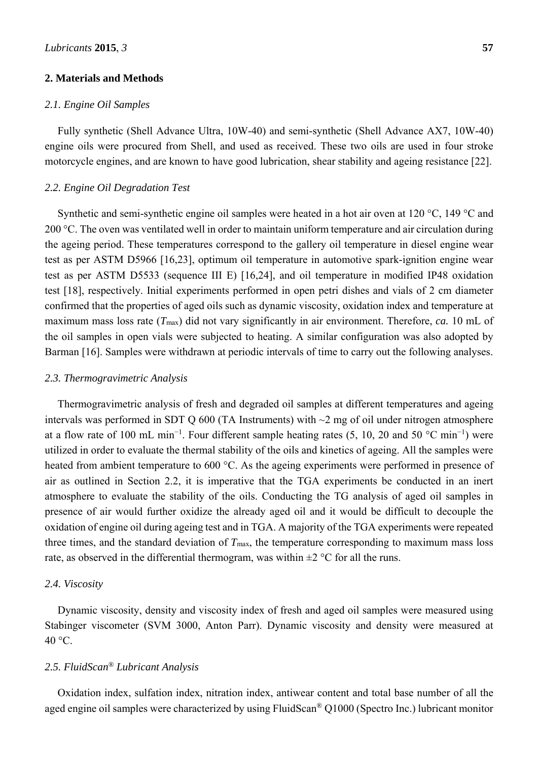#### **2. Materials and Methods**

# *2.1. Engine Oil Samples*

Fully synthetic (Shell Advance Ultra, 10W-40) and semi-synthetic (Shell Advance AX7, 10W-40) engine oils were procured from Shell, and used as received. These two oils are used in four stroke motorcycle engines, and are known to have good lubrication, shear stability and ageing resistance [22].

### *2.2. Engine Oil Degradation Test*

Synthetic and semi-synthetic engine oil samples were heated in a hot air oven at 120 °C, 149 °C and 200 °C. The oven was ventilated well in order to maintain uniform temperature and air circulation during the ageing period. These temperatures correspond to the gallery oil temperature in diesel engine wear test as per ASTM D5966 [16,23], optimum oil temperature in automotive spark-ignition engine wear test as per ASTM D5533 (sequence III E) [16,24], and oil temperature in modified IP48 oxidation test [18], respectively. Initial experiments performed in open petri dishes and vials of 2 cm diameter confirmed that the properties of aged oils such as dynamic viscosity, oxidation index and temperature at maximum mass loss rate (*T*max) did not vary significantly in air environment. Therefore, *ca.* 10 mL of the oil samples in open vials were subjected to heating. A similar configuration was also adopted by Barman [16]. Samples were withdrawn at periodic intervals of time to carry out the following analyses.

### *2.3. Thermogravimetric Analysis*

Thermogravimetric analysis of fresh and degraded oil samples at different temperatures and ageing intervals was performed in SDT Q 600 (TA Instruments) with  $\sim$ 2 mg of oil under nitrogen atmosphere at a flow rate of 100 mL min<sup>-1</sup>. Four different sample heating rates  $(5, 10, 20$  and  $50$  °C min<sup>-1</sup>) were utilized in order to evaluate the thermal stability of the oils and kinetics of ageing. All the samples were heated from ambient temperature to 600 °C. As the ageing experiments were performed in presence of air as outlined in Section 2.2, it is imperative that the TGA experiments be conducted in an inert atmosphere to evaluate the stability of the oils. Conducting the TG analysis of aged oil samples in presence of air would further oxidize the already aged oil and it would be difficult to decouple the oxidation of engine oil during ageing test and in TGA. A majority of the TGA experiments were repeated three times, and the standard deviation of  $T_{\text{max}}$ , the temperature corresponding to maximum mass loss rate, as observed in the differential thermogram, was within  $\pm 2$  °C for all the runs.

#### *2.4. Viscosity*

Dynamic viscosity, density and viscosity index of fresh and aged oil samples were measured using Stabinger viscometer (SVM 3000, Anton Parr). Dynamic viscosity and density were measured at  $40 °C$ .

# *2.5. FluidScan® Lubricant Analysis*

Oxidation index, sulfation index, nitration index, antiwear content and total base number of all the aged engine oil samples were characterized by using FluidScan® Q1000 (Spectro Inc.) lubricant monitor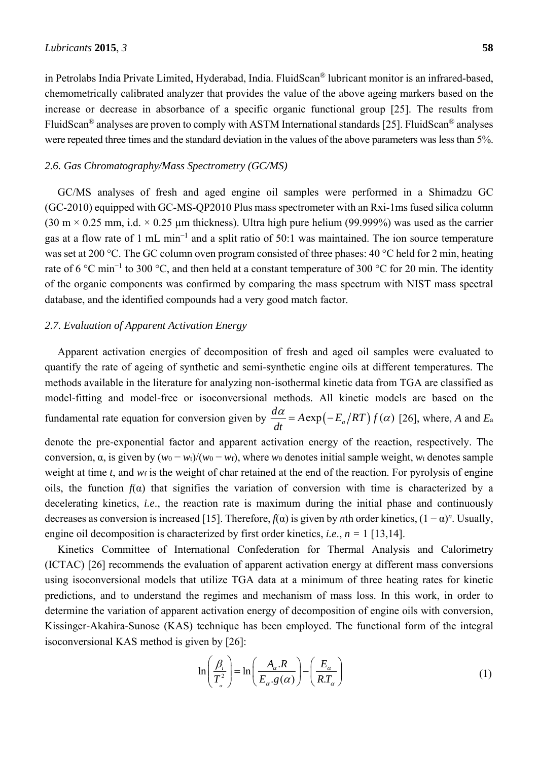in Petrolabs India Private Limited, Hyderabad, India. FluidScan® lubricant monitor is an infrared-based, chemometrically calibrated analyzer that provides the value of the above ageing markers based on the increase or decrease in absorbance of a specific organic functional group [25]. The results from FluidScan® analyses are proven to comply with ASTM International standards [25]. FluidScan® analyses were repeated three times and the standard deviation in the values of the above parameters was less than 5%.

#### *2.6. Gas Chromatography/Mass Spectrometry (GC/MS)*

GC/MS analyses of fresh and aged engine oil samples were performed in a Shimadzu GC (GC-2010) equipped with GC-MS-QP2010 Plus mass spectrometer with an Rxi-1ms fused silica column  $(30 \text{ m} \times 0.25 \text{ mm}, i.d. \times 0.25 \text{ mm}$  thickness). Ultra high pure helium (99.999%) was used as the carrier gas at a flow rate of 1 mL min<sup>-1</sup> and a split ratio of 50:1 was maintained. The ion source temperature was set at 200 °C. The GC column oven program consisted of three phases: 40 °C held for 2 min, heating rate of 6 °C min<sup>-1</sup> to 300 °C, and then held at a constant temperature of 300 °C for 20 min. The identity of the organic components was confirmed by comparing the mass spectrum with NIST mass spectral database, and the identified compounds had a very good match factor.

# *2.7. Evaluation of Apparent Activation Energy*

Apparent activation energies of decomposition of fresh and aged oil samples were evaluated to quantify the rate of ageing of synthetic and semi-synthetic engine oils at different temperatures. The methods available in the literature for analyzing non-isothermal kinetic data from TGA are classified as model-fitting and model-free or isoconversional methods. All kinetic models are based on the fundamental rate equation for conversion given by  $\frac{d\alpha}{dt} = A \exp(-E_a/RT) f(\alpha)$  [26], where, *A* and *E*<sub>a</sub> denote the pre-exponential factor and apparent activation energy of the reaction, respectively. The conversion,  $\alpha$ , is given by  $(w_0 - w_t)/(w_0 - w_t)$ , where *w*<sub>0</sub> denotes initial sample weight, *w*<sub>t</sub> denotes sample weight at time *t*, and *w*<sub>f</sub> is the weight of char retained at the end of the reaction. For pyrolysis of engine oils, the function  $f(\alpha)$  that signifies the variation of conversion with time is characterized by a decelerating kinetics, *i.e*., the reaction rate is maximum during the initial phase and continuously decreases as conversion is increased [15]. Therefore,  $f(\alpha)$  is given by *n*th order kinetics,  $(1 - \alpha)^n$ . Usually,

Kinetics Committee of International Confederation for Thermal Analysis and Calorimetry (ICTAC) [26] recommends the evaluation of apparent activation energy at different mass conversions using isoconversional models that utilize TGA data at a minimum of three heating rates for kinetic predictions, and to understand the regimes and mechanism of mass loss. In this work, in order to determine the variation of apparent activation energy of decomposition of engine oils with conversion, Kissinger-Akahira-Sunose (KAS) technique has been employed. The functional form of the integral isoconversional KAS method is given by [26]:

engine oil decomposition is characterized by first order kinetics, *i.e*., *n =* 1 [13,14].

$$
\ln\left(\frac{\beta_i}{T_a^2}\right) = \ln\left(\frac{A_\alpha.R}{E_\alpha.g(\alpha)}\right) - \left(\frac{E_\alpha}{RT_\alpha}\right) \tag{1}
$$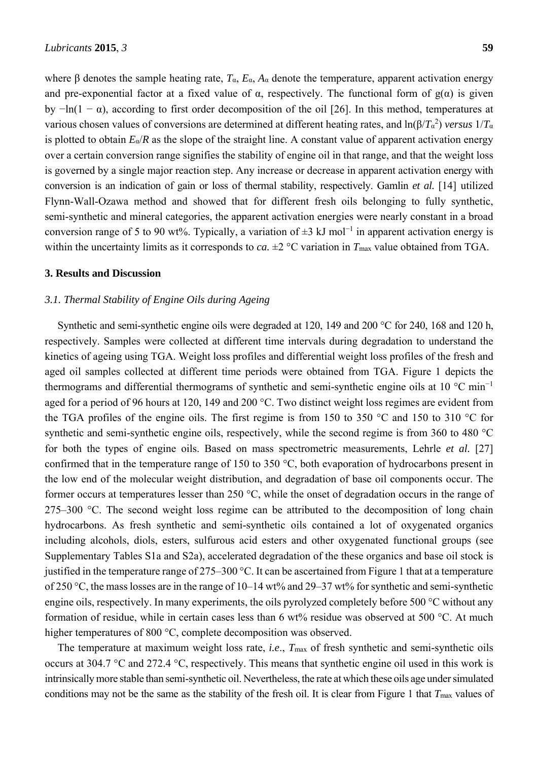where β denotes the sample heating rate, *T*α, *E*α, *A*α denote the temperature, apparent activation energy and pre-exponential factor at a fixed value of  $\alpha$ , respectively. The functional form of  $g(\alpha)$  is given by  $-\ln(1 - \alpha)$ , according to first order decomposition of the oil [26]. In this method, temperatures at various chosen values of conversions are determined at different heating rates, and ln(β/*T*<sup>α</sup> 2 ) *versus* 1/*T*<sup>α</sup> is plotted to obtain  $E_{\alpha}/R$  as the slope of the straight line. A constant value of apparent activation energy over a certain conversion range signifies the stability of engine oil in that range, and that the weight loss is governed by a single major reaction step. Any increase or decrease in apparent activation energy with conversion is an indication of gain or loss of thermal stability, respectively. Gamlin *et al.* [14] utilized Flynn-Wall-Ozawa method and showed that for different fresh oils belonging to fully synthetic, semi-synthetic and mineral categories, the apparent activation energies were nearly constant in a broad conversion range of 5 to 90 wt%. Typically, a variation of  $\pm 3$  kJ mol<sup>-1</sup> in apparent activation energy is within the uncertainty limits as it corresponds to *ca*.  $\pm 2$  °C variation in  $T_{\text{max}}$  value obtained from TGA.

### **3. Results and Discussion**

# *3.1. Thermal Stability of Engine Oils during Ageing*

Synthetic and semi-synthetic engine oils were degraded at 120, 149 and 200 °C for 240, 168 and 120 h, respectively. Samples were collected at different time intervals during degradation to understand the kinetics of ageing using TGA. Weight loss profiles and differential weight loss profiles of the fresh and aged oil samples collected at different time periods were obtained from TGA. Figure 1 depicts the thermograms and differential thermograms of synthetic and semi-synthetic engine oils at 10 °C min<sup>−</sup><sup>1</sup> aged for a period of 96 hours at 120, 149 and 200 °C. Two distinct weight loss regimes are evident from the TGA profiles of the engine oils. The first regime is from 150 to 350 °C and 150 to 310 °C for synthetic and semi-synthetic engine oils, respectively, while the second regime is from 360 to 480 °C for both the types of engine oils. Based on mass spectrometric measurements, Lehrle *et al.* [27] confirmed that in the temperature range of 150 to 350 °C, both evaporation of hydrocarbons present in the low end of the molecular weight distribution, and degradation of base oil components occur. The former occurs at temperatures lesser than 250 °C, while the onset of degradation occurs in the range of 275–300 °C. The second weight loss regime can be attributed to the decomposition of long chain hydrocarbons. As fresh synthetic and semi-synthetic oils contained a lot of oxygenated organics including alcohols, diols, esters, sulfurous acid esters and other oxygenated functional groups (see Supplementary Tables S1a and S2a), accelerated degradation of the these organics and base oil stock is justified in the temperature range of 275–300 °C. It can be ascertained from Figure 1 that at a temperature of 250 °C, the mass losses are in the range of 10–14 wt% and 29–37 wt% for synthetic and semi-synthetic engine oils, respectively. In many experiments, the oils pyrolyzed completely before 500 °C without any formation of residue, while in certain cases less than 6  $wt\%$  residue was observed at 500 °C. At much higher temperatures of 800 °C, complete decomposition was observed.

The temperature at maximum weight loss rate, *i.e*., *T*max of fresh synthetic and semi-synthetic oils occurs at 304.7 °C and 272.4 °C, respectively. This means that synthetic engine oil used in this work is intrinsically more stable than semi-synthetic oil. Nevertheless, the rate at which these oils age under simulated conditions may not be the same as the stability of the fresh oil. It is clear from Figure 1 that  $T_{\text{max}}$  values of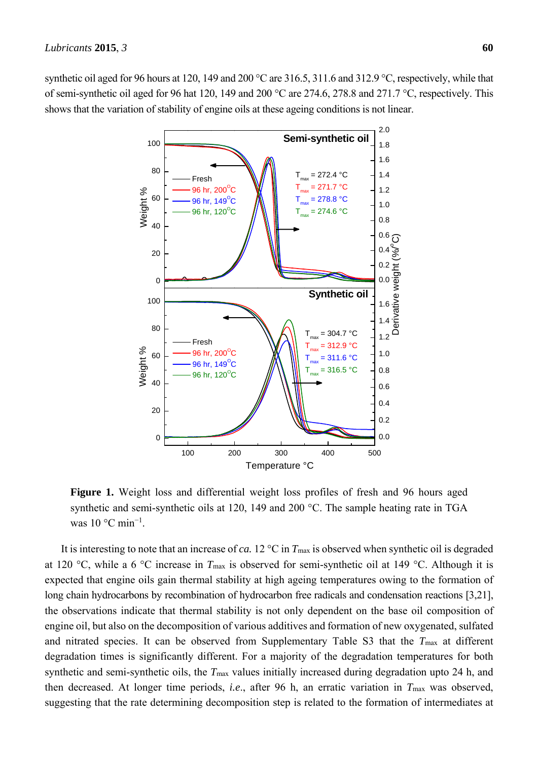synthetic oil aged for 96 hours at 120, 149 and 200 °C are 316.5, 311.6 and 312.9 °C, respectively, while that of semi-synthetic oil aged for 96 hat 120, 149 and 200 °C are 274.6, 278.8 and 271.7 °C, respectively. This shows that the variation of stability of engine oils at these ageing conditions is not linear.



**Figure 1.** Weight loss and differential weight loss profiles of fresh and 96 hours aged synthetic and semi-synthetic oils at 120, 149 and 200 °C. The sample heating rate in TGA was  $10^{\circ}$ C min<sup>-1</sup>.

It is interesting to note that an increase of *ca*. 12  $^{\circ}$ C in  $T_{\text{max}}$  is observed when synthetic oil is degraded at 120 °C, while a 6 °C increase in *T*max is observed for semi-synthetic oil at 149 °C. Although it is expected that engine oils gain thermal stability at high ageing temperatures owing to the formation of long chain hydrocarbons by recombination of hydrocarbon free radicals and condensation reactions [3,21], the observations indicate that thermal stability is not only dependent on the base oil composition of engine oil, but also on the decomposition of various additives and formation of new oxygenated, sulfated and nitrated species. It can be observed from Supplementary Table S3 that the *T*max at different degradation times is significantly different. For a majority of the degradation temperatures for both synthetic and semi-synthetic oils, the  $T_{\text{max}}$  values initially increased during degradation upto 24 h, and then decreased. At longer time periods, *i.e*., after 96 h, an erratic variation in *T*max was observed, suggesting that the rate determining decomposition step is related to the formation of intermediates at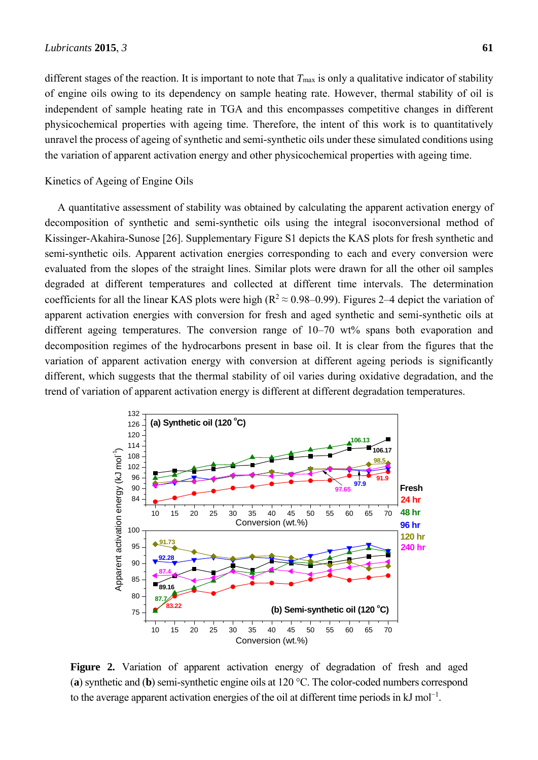# Kinetics of Ageing of Engine Oils

A quantitative assessment of stability was obtained by calculating the apparent activation energy of decomposition of synthetic and semi-synthetic oils using the integral isoconversional method of Kissinger-Akahira-Sunose [26]. Supplementary Figure S1 depicts the KAS plots for fresh synthetic and semi-synthetic oils. Apparent activation energies corresponding to each and every conversion were evaluated from the slopes of the straight lines. Similar plots were drawn for all the other oil samples degraded at different temperatures and collected at different time intervals. The determination coefficients for all the linear KAS plots were high ( $R^2 \approx 0.98-0.99$ ). Figures 2–4 depict the variation of apparent activation energies with conversion for fresh and aged synthetic and semi-synthetic oils at different ageing temperatures. The conversion range of 10–70 wt% spans both evaporation and decomposition regimes of the hydrocarbons present in base oil. It is clear from the figures that the variation of apparent activation energy with conversion at different ageing periods is significantly different, which suggests that the thermal stability of oil varies during oxidative degradation, and the trend of variation of apparent activation energy is different at different degradation temperatures.

unravel the process of ageing of synthetic and semi-synthetic oils under these simulated conditions using

the variation of apparent activation energy and other physicochemical properties with ageing time.



**Figure 2.** Variation of apparent activation energy of degradation of fresh and aged (**a**) synthetic and (**b**) semi-synthetic engine oils at 120 °C. The color-coded numbers correspond to the average apparent activation energies of the oil at different time periods in  $kJ$  mol<sup>-1</sup>.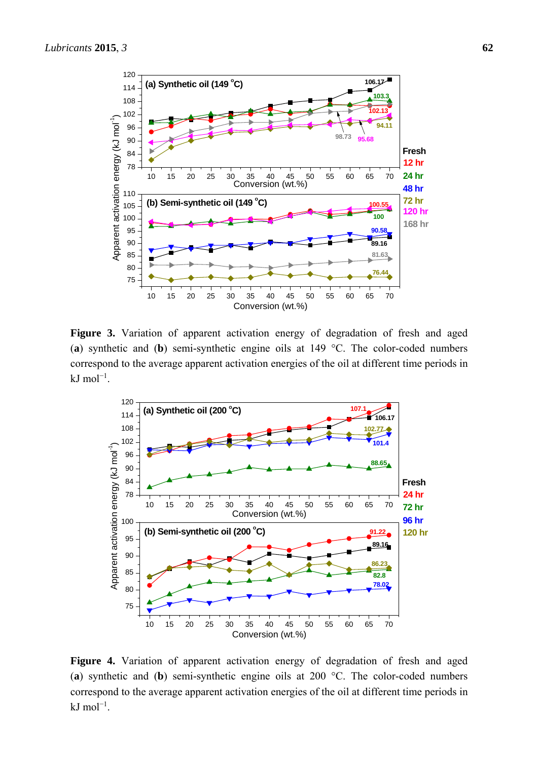

**Figure 3.** Variation of apparent activation energy of degradation of fresh and aged (**a**) synthetic and (**b**) semi-synthetic engine oils at 149 °C. The color-coded numbers correspond to the average apparent activation energies of the oil at different time periods in kJ mol<sup>-1</sup>.



**Figure 4.** Variation of apparent activation energy of degradation of fresh and aged (**a**) synthetic and (**b**) semi-synthetic engine oils at 200 °C. The color-coded numbers correspond to the average apparent activation energies of the oil at different time periods in kJ mol<sup>-1</sup>.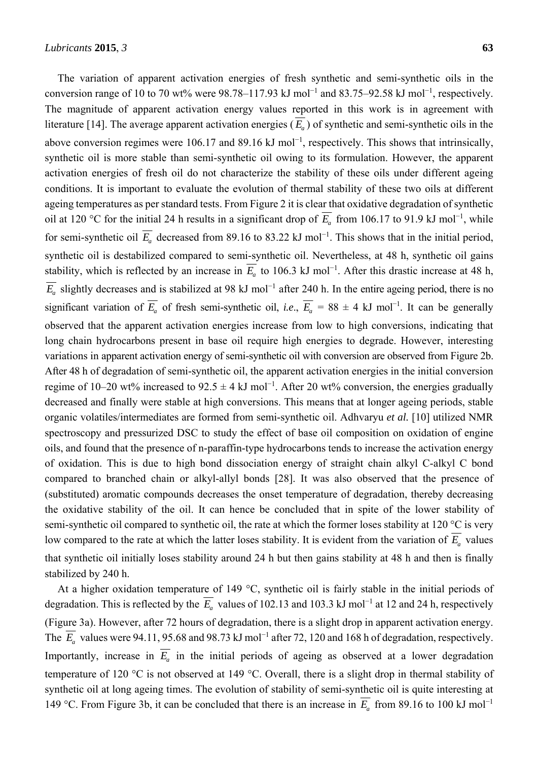The variation of apparent activation energies of fresh synthetic and semi-synthetic oils in the conversion range of 10 to 70 wt% were 98.78–117.93 kJ mol<sup>-1</sup> and 83.75–92.58 kJ mol<sup>-1</sup>, respectively. The magnitude of apparent activation energy values reported in this work is in agreement with literature [14]. The average apparent activation energies  $(\overline{E_a})$  of synthetic and semi-synthetic oils in the above conversion regimes were 106.17 and 89.16 kJ mol<sup>-1</sup>, respectively. This shows that intrinsically, synthetic oil is more stable than semi-synthetic oil owing to its formulation. However, the apparent activation energies of fresh oil do not characterize the stability of these oils under different ageing conditions. It is important to evaluate the evolution of thermal stability of these two oils at different ageing temperatures as per standard tests. From Figure 2 it is clear that oxidative degradation of synthetic oil at 120 °C for the initial 24 h results in a significant drop of  $\overline{E_a}$  from 106.17 to 91.9 kJ mol<sup>-1</sup>, while for semi-synthetic oil  $\overline{E}_a$  decreased from 89.16 to 83.22 kJ mol<sup>-1</sup>. This shows that in the initial period, synthetic oil is destabilized compared to semi-synthetic oil. Nevertheless, at 48 h, synthetic oil gains stability, which is reflected by an increase in  $\overline{E_a}$  to 106.3 kJ mol<sup>-1</sup>. After this drastic increase at 48 h,  $E_a$  slightly decreases and is stabilized at 98 kJ mol<sup>-1</sup> after 240 h. In the entire ageing period, there is no significant variation of  $\overline{E_a}$  of fresh semi-synthetic oil, *i.e.*,  $\overline{E_a} = 88 \pm 4$  kJ mol<sup>-1</sup>. It can be generally observed that the apparent activation energies increase from low to high conversions, indicating that long chain hydrocarbons present in base oil require high energies to degrade. However, interesting variations in apparent activation energy of semi-synthetic oil with conversion are observed from Figure 2b. After 48 h of degradation of semi-synthetic oil, the apparent activation energies in the initial conversion regime of 10–20 wt% increased to  $92.5 \pm 4 \text{ kJ}$  mol<sup>-1</sup>. After 20 wt% conversion, the energies gradually decreased and finally were stable at high conversions. This means that at longer ageing periods, stable organic volatiles/intermediates are formed from semi-synthetic oil. Adhvaryu *et al.* [10] utilized NMR spectroscopy and pressurized DSC to study the effect of base oil composition on oxidation of engine oils, and found that the presence of n-paraffin-type hydrocarbons tends to increase the activation energy of oxidation. This is due to high bond dissociation energy of straight chain alkyl C-alkyl C bond compared to branched chain or alkyl-allyl bonds [28]. It was also observed that the presence of (substituted) aromatic compounds decreases the onset temperature of degradation, thereby decreasing the oxidative stability of the oil. It can hence be concluded that in spite of the lower stability of semi-synthetic oil compared to synthetic oil, the rate at which the former loses stability at 120 °C is very low compared to the rate at which the latter loses stability. It is evident from the variation of  $\overline{E_a}$  values that synthetic oil initially loses stability around 24 h but then gains stability at 48 h and then is finally stabilized by 240 h.

At a higher oxidation temperature of 149 °C, synthetic oil is fairly stable in the initial periods of degradation. This is reflected by the  $\overline{E}_a$  values of 102.13 and 103.3 kJ mol<sup>-1</sup> at 12 and 24 h, respectively (Figure 3a). However, after 72 hours of degradation, there is a slight drop in apparent activation energy. The  $\overline{E}_a$  values were 94.11, 95.68 and 98.73 kJ mol<sup>-1</sup> after 72, 120 and 168 h of degradation, respectively. Importantly, increase in  $\overline{E}_a$  in the initial periods of ageing as observed at a lower degradation temperature of 120 °C is not observed at 149 °C. Overall, there is a slight drop in thermal stability of synthetic oil at long ageing times. The evolution of stability of semi-synthetic oil is quite interesting at 149 °C. From Figure 3b, it can be concluded that there is an increase in  $\overline{E}_a$  from 89.16 to 100 kJ mol<sup>-1</sup>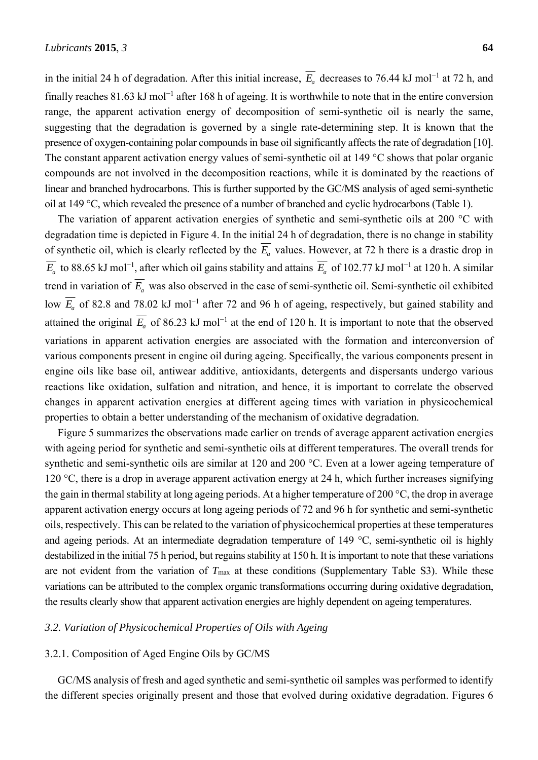in the initial 24 h of degradation. After this initial increase,  $\overline{E_a}$  decreases to 76.44 kJ mol<sup>-1</sup> at 72 h, and finally reaches 81.63 kJ mol<sup>-1</sup> after 168 h of ageing. It is worthwhile to note that in the entire conversion range, the apparent activation energy of decomposition of semi-synthetic oil is nearly the same, suggesting that the degradation is governed by a single rate-determining step. It is known that the presence of oxygen-containing polar compounds in base oil significantly affects the rate of degradation [10]. The constant apparent activation energy values of semi-synthetic oil at 149 °C shows that polar organic compounds are not involved in the decomposition reactions, while it is dominated by the reactions of linear and branched hydrocarbons. This is further supported by the GC/MS analysis of aged semi-synthetic oil at 149 °C, which revealed the presence of a number of branched and cyclic hydrocarbons (Table 1).

The variation of apparent activation energies of synthetic and semi-synthetic oils at 200 °C with degradation time is depicted in Figure 4. In the initial 24 h of degradation, there is no change in stability of synthetic oil, which is clearly reflected by the  $\overline{E}_a$  values. However, at 72 h there is a drastic drop in  $\overline{E}_a$  to 88.65 kJ mol<sup>-1</sup>, after which oil gains stability and attains  $\overline{E}_a$  of 102.77 kJ mol<sup>-1</sup> at 120 h. A similar trend in variation of  $\overline{E}_a$  was also observed in the case of semi-synthetic oil. Semi-synthetic oil exhibited low  $\overline{E}_a$  of 82.8 and 78.02 kJ mol<sup>-1</sup> after 72 and 96 h of ageing, respectively, but gained stability and attained the original  $E_a$  of 86.23 kJ mol<sup>-1</sup> at the end of 120 h. It is important to note that the observed variations in apparent activation energies are associated with the formation and interconversion of various components present in engine oil during ageing. Specifically, the various components present in engine oils like base oil, antiwear additive, antioxidants, detergents and dispersants undergo various reactions like oxidation, sulfation and nitration, and hence, it is important to correlate the observed changes in apparent activation energies at different ageing times with variation in physicochemical properties to obtain a better understanding of the mechanism of oxidative degradation.

Figure 5 summarizes the observations made earlier on trends of average apparent activation energies with ageing period for synthetic and semi-synthetic oils at different temperatures. The overall trends for synthetic and semi-synthetic oils are similar at 120 and 200 °C. Even at a lower ageing temperature of 120 °C, there is a drop in average apparent activation energy at 24 h, which further increases signifying the gain in thermal stability at long ageing periods. At a higher temperature of 200 °C, the drop in average apparent activation energy occurs at long ageing periods of 72 and 96 h for synthetic and semi-synthetic oils, respectively. This can be related to the variation of physicochemical properties at these temperatures and ageing periods. At an intermediate degradation temperature of 149 °C, semi-synthetic oil is highly destabilized in the initial 75 h period, but regains stability at 150 h. It is important to note that these variations are not evident from the variation of  $T_{\text{max}}$  at these conditions (Supplementary Table S3). While these variations can be attributed to the complex organic transformations occurring during oxidative degradation, the results clearly show that apparent activation energies are highly dependent on ageing temperatures.

### *3.2. Variation of Physicochemical Properties of Oils with Ageing*

#### 3.2.1. Composition of Aged Engine Oils by GC/MS

GC/MS analysis of fresh and aged synthetic and semi-synthetic oil samples was performed to identify the different species originally present and those that evolved during oxidative degradation. Figures 6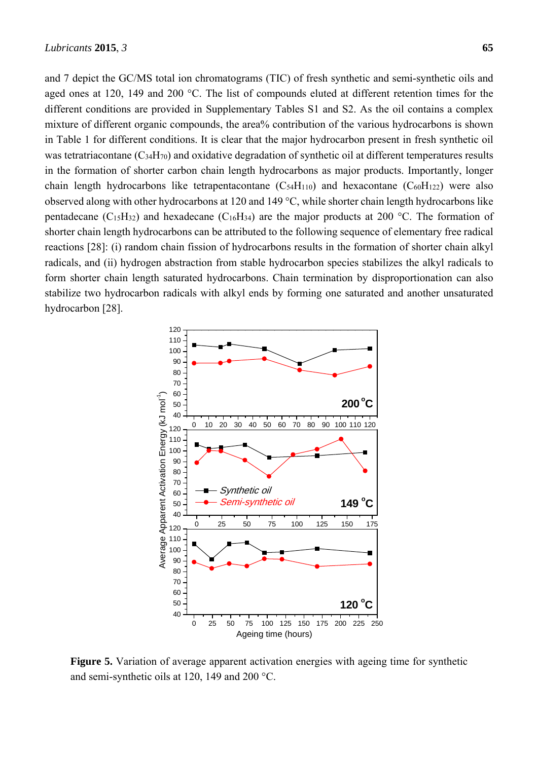and 7 depict the GC/MS total ion chromatograms (TIC) of fresh synthetic and semi-synthetic oils and aged ones at 120, 149 and 200 °C. The list of compounds eluted at different retention times for the different conditions are provided in Supplementary Tables S1 and S2. As the oil contains a complex mixture of different organic compounds, the area% contribution of the various hydrocarbons is shown in Table 1 for different conditions. It is clear that the major hydrocarbon present in fresh synthetic oil was tetratriacontane  $(C_{34}H_{70})$  and oxidative degradation of synthetic oil at different temperatures results in the formation of shorter carbon chain length hydrocarbons as major products. Importantly, longer chain length hydrocarbons like tetrapentacontane  $(C_{54}H_{110})$  and hexacontane  $(C_{60}H_{122})$  were also observed along with other hydrocarbons at 120 and 149 °C, while shorter chain length hydrocarbons like pentadecane (C<sub>15</sub>H<sub>32</sub>) and hexadecane (C<sub>16</sub>H<sub>34</sub>) are the major products at 200 °C. The formation of shorter chain length hydrocarbons can be attributed to the following sequence of elementary free radical reactions [28]: (i) random chain fission of hydrocarbons results in the formation of shorter chain alkyl radicals, and (ii) hydrogen abstraction from stable hydrocarbon species stabilizes the alkyl radicals to form shorter chain length saturated hydrocarbons. Chain termination by disproportionation can also stabilize two hydrocarbon radicals with alkyl ends by forming one saturated and another unsaturated hydrocarbon [28].



**Figure 5.** Variation of average apparent activation energies with ageing time for synthetic and semi-synthetic oils at 120, 149 and 200 °C.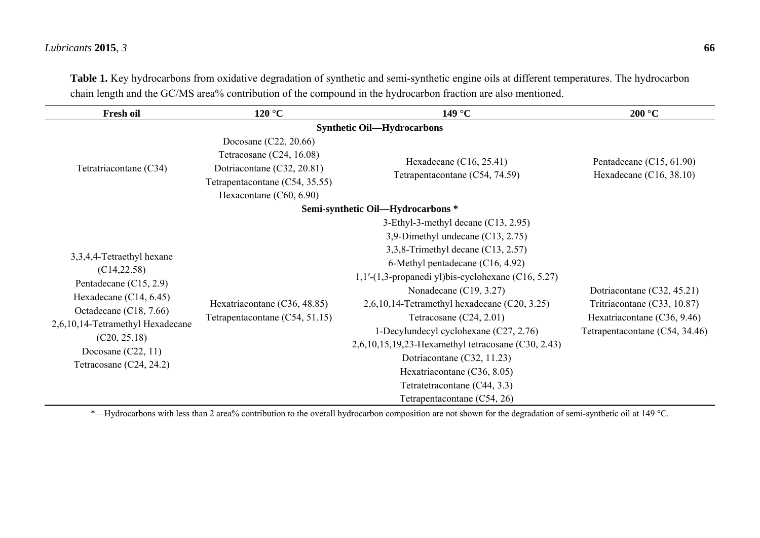# *Lubricants* **2015**, *3* **66**

| $120\text{ °C}$                                                                                                                                | 149 $\degree$ C                                                                                                                                                                                                                                                                                                                                                                                                                                                                                                         | 200 °C                                                                                                                     |  |
|------------------------------------------------------------------------------------------------------------------------------------------------|-------------------------------------------------------------------------------------------------------------------------------------------------------------------------------------------------------------------------------------------------------------------------------------------------------------------------------------------------------------------------------------------------------------------------------------------------------------------------------------------------------------------------|----------------------------------------------------------------------------------------------------------------------------|--|
| <b>Synthetic Oil—Hydrocarbons</b>                                                                                                              |                                                                                                                                                                                                                                                                                                                                                                                                                                                                                                                         |                                                                                                                            |  |
| Docosane $(C22, 20.66)$<br>Tetracosane (C24, 16.08)<br>Dotriacontane (C32, 20.81)<br>Tetrapentacontane (C54, 35.55)<br>Hexacontane (C60, 6.90) | Hexadecane $(C16, 25.41)$<br>Tetrapentacontane (C54, 74.59)                                                                                                                                                                                                                                                                                                                                                                                                                                                             | Pentadecane (C15, 61.90)<br>Hexadecane $(C16, 38.10)$                                                                      |  |
|                                                                                                                                                |                                                                                                                                                                                                                                                                                                                                                                                                                                                                                                                         |                                                                                                                            |  |
| Hexatriacontane (C36, 48.85)<br>Tetrapentacontane (C54, 51.15)                                                                                 | 3-Ethyl-3-methyl decane $(C13, 2.95)$<br>3,9-Dimethyl undecane $(C13, 2.75)$<br>3,3,8-Trimethyl decane $(C13, 2.57)$<br>6-Methyl pentadecane (C16, 4.92)<br>1,1'-(1,3-propanedi yl)bis-cyclohexane (C16, 5.27)<br>Nonadecane $(C19, 3.27)$<br>$2,6,10,14$ -Tetramethyl hexadecane (C20, 3.25)<br>Tetracosane $(C24, 2.01)$<br>1-Decylundecyl cyclohexane (C27, 2.76)<br>2,6,10,15,19,23-Hexamethyl tetracosane (C30, 2.43)<br>Dotriacontane (C32, 11.23)<br>Hexatriacontane (C36, 8.05)<br>Tetratetracontane (C44, 3.3) | Dotriacontane (C32, 45.21)<br>Tritriacontane (C33, 10.87)<br>Hexatriacontane (C36, 9.46)<br>Tetrapentacontane (C54, 34.46) |  |
|                                                                                                                                                |                                                                                                                                                                                                                                                                                                                                                                                                                                                                                                                         | Semi-synthetic Oil—Hydrocarbons *<br>Tetrapentacontane (C54, 26)                                                           |  |

**Table 1.** Key hydrocarbons from oxidative degradation of synthetic and semi-synthetic engine oils at different temperatures. The hydrocarbon chain length and the GC/MS area% contribution of the compound in the hydrocarbon fraction are also mentioned.

\*—Hydrocarbons with less than 2 area% contribution to the overall hydrocarbon composition are not shown for the degradation of semi-synthetic oil at 149 °C.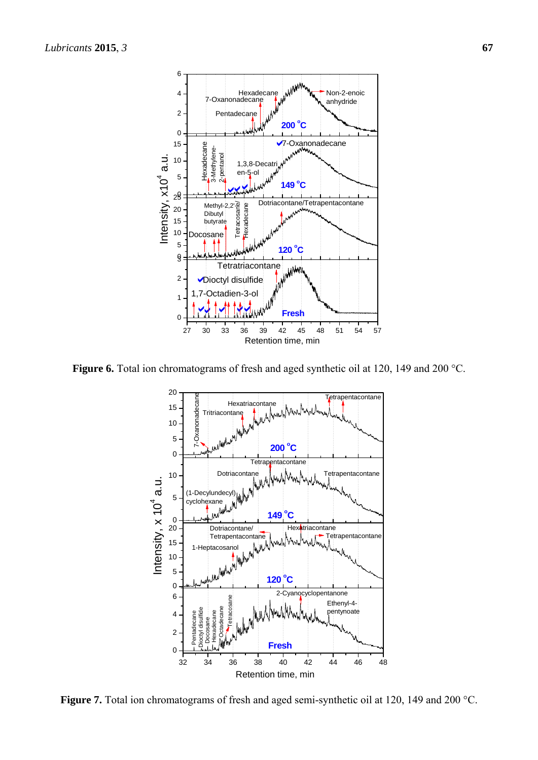

**Figure 6.** Total ion chromatograms of fresh and aged synthetic oil at 120, 149 and 200 °C.



Figure 7. Total ion chromatograms of fresh and aged semi-synthetic oil at 120, 149 and 200 °C.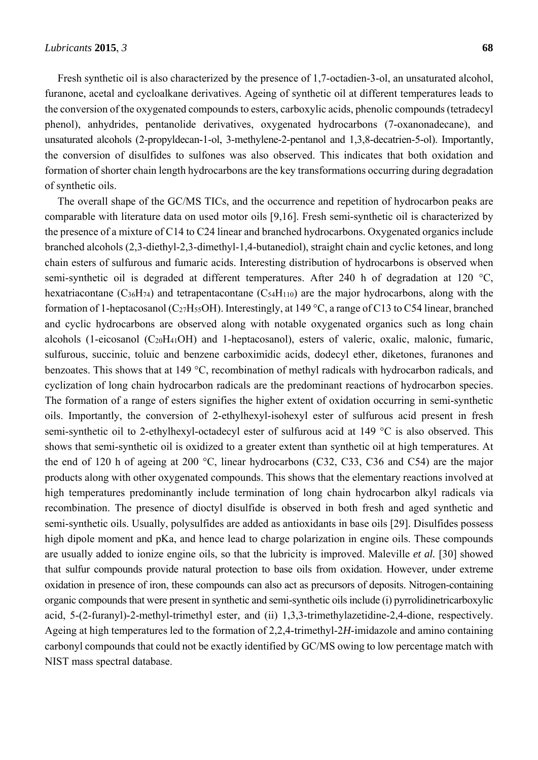Fresh synthetic oil is also characterized by the presence of 1,7-octadien-3-ol, an unsaturated alcohol, furanone, acetal and cycloalkane derivatives. Ageing of synthetic oil at different temperatures leads to the conversion of the oxygenated compounds to esters, carboxylic acids, phenolic compounds (tetradecyl phenol), anhydrides, pentanolide derivatives, oxygenated hydrocarbons (7-oxanonadecane), and unsaturated alcohols (2-propyldecan-1-ol, 3-methylene-2-pentanol and 1,3,8-decatrien-5-ol). Importantly, the conversion of disulfides to sulfones was also observed. This indicates that both oxidation and formation of shorter chain length hydrocarbons are the key transformations occurring during degradation of synthetic oils.

The overall shape of the GC/MS TICs, and the occurrence and repetition of hydrocarbon peaks are comparable with literature data on used motor oils [9,16]. Fresh semi-synthetic oil is characterized by the presence of a mixture of C14 to C24 linear and branched hydrocarbons. Oxygenated organics include branched alcohols (2,3-diethyl-2,3-dimethyl-1,4-butanediol), straight chain and cyclic ketones, and long chain esters of sulfurous and fumaric acids. Interesting distribution of hydrocarbons is observed when semi-synthetic oil is degraded at different temperatures. After 240 h of degradation at 120 °C, hexatriacontane  $(C_{36}H_{74})$  and tetrapentacontane  $(C_{54}H_{110})$  are the major hydrocarbons, along with the formation of 1-heptacosanol (C<sub>27</sub>H<sub>55</sub>OH). Interestingly, at 149 °C, a range of C13 to C54 linear, branched and cyclic hydrocarbons are observed along with notable oxygenated organics such as long chain alcohols (1-eicosanol (C20H41OH) and 1-heptacosanol), esters of valeric, oxalic, malonic, fumaric, sulfurous, succinic, toluic and benzene carboximidic acids, dodecyl ether, diketones, furanones and benzoates. This shows that at 149 °C, recombination of methyl radicals with hydrocarbon radicals, and cyclization of long chain hydrocarbon radicals are the predominant reactions of hydrocarbon species. The formation of a range of esters signifies the higher extent of oxidation occurring in semi-synthetic oils. Importantly, the conversion of 2-ethylhexyl-isohexyl ester of sulfurous acid present in fresh semi-synthetic oil to 2-ethylhexyl-octadecyl ester of sulfurous acid at 149 °C is also observed. This shows that semi-synthetic oil is oxidized to a greater extent than synthetic oil at high temperatures. At the end of 120 h of ageing at 200 °C, linear hydrocarbons (C32, C33, C36 and C54) are the major products along with other oxygenated compounds. This shows that the elementary reactions involved at high temperatures predominantly include termination of long chain hydrocarbon alkyl radicals via recombination. The presence of dioctyl disulfide is observed in both fresh and aged synthetic and semi-synthetic oils. Usually, polysulfides are added as antioxidants in base oils [29]. Disulfides possess high dipole moment and pKa, and hence lead to charge polarization in engine oils. These compounds are usually added to ionize engine oils, so that the lubricity is improved. Maleville *et al.* [30] showed that sulfur compounds provide natural protection to base oils from oxidation. However, under extreme oxidation in presence of iron, these compounds can also act as precursors of deposits. Nitrogen-containing organic compounds that were present in synthetic and semi-synthetic oils include (i) pyrrolidinetricarboxylic acid, 5-(2-furanyl)-2-methyl-trimethyl ester, and (ii) 1,3,3-trimethylazetidine-2,4-dione, respectively. Ageing at high temperatures led to the formation of 2,2,4-trimethyl-2*H*-imidazole and amino containing carbonyl compounds that could not be exactly identified by GC/MS owing to low percentage match with NIST mass spectral database.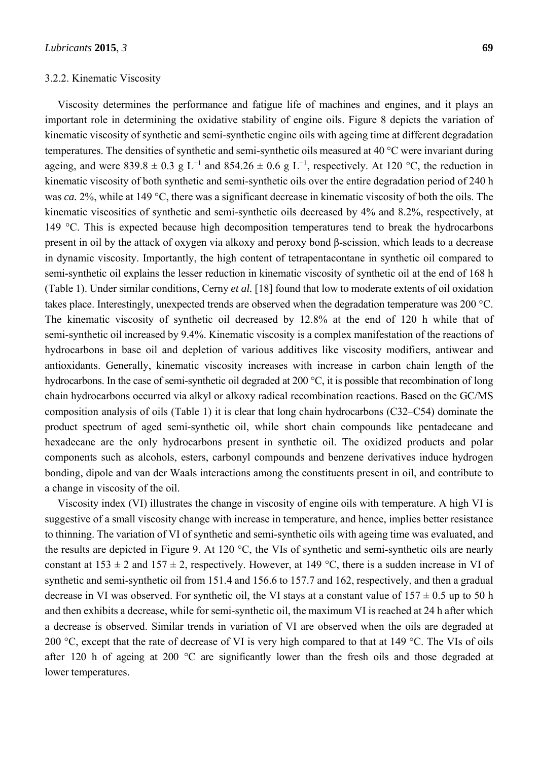#### 3.2.2. Kinematic Viscosity

Viscosity determines the performance and fatigue life of machines and engines, and it plays an important role in determining the oxidative stability of engine oils. Figure 8 depicts the variation of kinematic viscosity of synthetic and semi-synthetic engine oils with ageing time at different degradation temperatures. The densities of synthetic and semi-synthetic oils measured at 40 °C were invariant during ageing, and were 839.8  $\pm$  0.3 g L<sup>-1</sup> and 854.26  $\pm$  0.6 g L<sup>-1</sup>, respectively. At 120 °C, the reduction in kinematic viscosity of both synthetic and semi-synthetic oils over the entire degradation period of 240 h was *ca.* 2%, while at 149 °C, there was a significant decrease in kinematic viscosity of both the oils. The kinematic viscosities of synthetic and semi-synthetic oils decreased by 4% and 8.2%, respectively, at 149 °C. This is expected because high decomposition temperatures tend to break the hydrocarbons present in oil by the attack of oxygen via alkoxy and peroxy bond β-scission, which leads to a decrease in dynamic viscosity. Importantly, the high content of tetrapentacontane in synthetic oil compared to semi-synthetic oil explains the lesser reduction in kinematic viscosity of synthetic oil at the end of 168 h (Table 1). Under similar conditions, Cerny *et al.* [18] found that low to moderate extents of oil oxidation takes place. Interestingly, unexpected trends are observed when the degradation temperature was 200 °C. The kinematic viscosity of synthetic oil decreased by 12.8% at the end of 120 h while that of semi-synthetic oil increased by 9.4%. Kinematic viscosity is a complex manifestation of the reactions of hydrocarbons in base oil and depletion of various additives like viscosity modifiers, antiwear and antioxidants. Generally, kinematic viscosity increases with increase in carbon chain length of the hydrocarbons. In the case of semi-synthetic oil degraded at 200 °C, it is possible that recombination of long chain hydrocarbons occurred via alkyl or alkoxy radical recombination reactions. Based on the GC/MS composition analysis of oils (Table 1) it is clear that long chain hydrocarbons (C32–C54) dominate the product spectrum of aged semi-synthetic oil, while short chain compounds like pentadecane and hexadecane are the only hydrocarbons present in synthetic oil. The oxidized products and polar components such as alcohols, esters, carbonyl compounds and benzene derivatives induce hydrogen bonding, dipole and van der Waals interactions among the constituents present in oil, and contribute to a change in viscosity of the oil.

Viscosity index (VI) illustrates the change in viscosity of engine oils with temperature. A high VI is suggestive of a small viscosity change with increase in temperature, and hence, implies better resistance to thinning. The variation of VI of synthetic and semi-synthetic oils with ageing time was evaluated, and the results are depicted in Figure 9. At 120 °C, the VIs of synthetic and semi-synthetic oils are nearly constant at  $153 \pm 2$  and  $157 \pm 2$ , respectively. However, at 149 °C, there is a sudden increase in VI of synthetic and semi-synthetic oil from 151.4 and 156.6 to 157.7 and 162, respectively, and then a gradual decrease in VI was observed. For synthetic oil, the VI stays at a constant value of  $157 \pm 0.5$  up to 50 h and then exhibits a decrease, while for semi-synthetic oil, the maximum VI is reached at 24 h after which a decrease is observed. Similar trends in variation of VI are observed when the oils are degraded at 200 °C, except that the rate of decrease of VI is very high compared to that at 149 °C. The VIs of oils after 120 h of ageing at 200 °C are significantly lower than the fresh oils and those degraded at lower temperatures.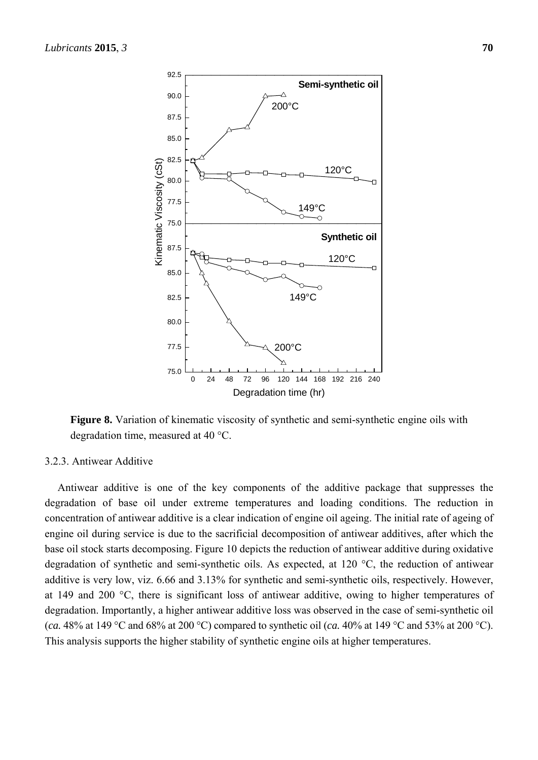

**Figure 8.** Variation of kinematic viscosity of synthetic and semi-synthetic engine oils with degradation time, measured at 40 °C.

# 3.2.3. Antiwear Additive

Antiwear additive is one of the key components of the additive package that suppresses the degradation of base oil under extreme temperatures and loading conditions. The reduction in concentration of antiwear additive is a clear indication of engine oil ageing. The initial rate of ageing of engine oil during service is due to the sacrificial decomposition of antiwear additives, after which the base oil stock starts decomposing. Figure 10 depicts the reduction of antiwear additive during oxidative degradation of synthetic and semi-synthetic oils. As expected, at 120 °C, the reduction of antiwear additive is very low, viz. 6.66 and 3.13% for synthetic and semi-synthetic oils, respectively. However, at 149 and 200 °C, there is significant loss of antiwear additive, owing to higher temperatures of degradation. Importantly, a higher antiwear additive loss was observed in the case of semi-synthetic oil (*ca.* 48% at 149 °C and 68% at 200 °C) compared to synthetic oil (*ca.* 40% at 149 °C and 53% at 200 °C). This analysis supports the higher stability of synthetic engine oils at higher temperatures.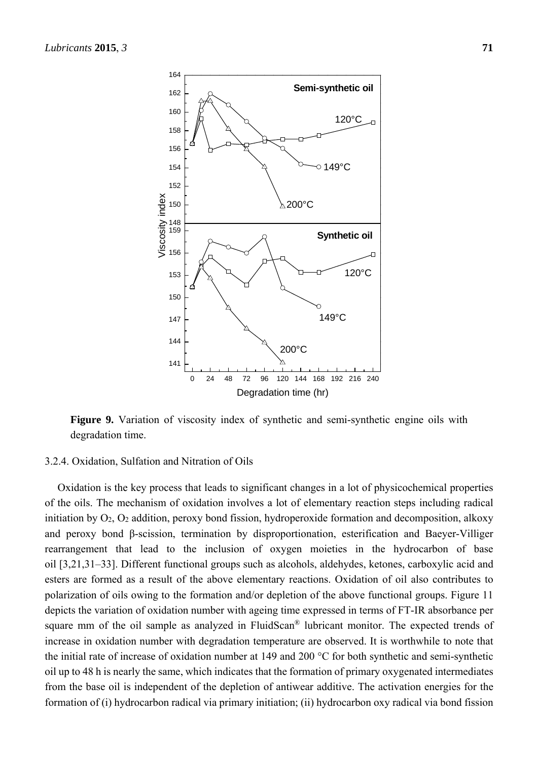

Figure 9. Variation of viscosity index of synthetic and semi-synthetic engine oils with degradation time.

# 3.2.4. Oxidation, Sulfation and Nitration of Oils

Oxidation is the key process that leads to significant changes in a lot of physicochemical properties of the oils. The mechanism of oxidation involves a lot of elementary reaction steps including radical initiation by O2, O2 addition, peroxy bond fission, hydroperoxide formation and decomposition, alkoxy and peroxy bond β-scission, termination by disproportionation, esterification and Baeyer-Villiger rearrangement that lead to the inclusion of oxygen moieties in the hydrocarbon of base oil [3,21,31–33]. Different functional groups such as alcohols, aldehydes, ketones, carboxylic acid and esters are formed as a result of the above elementary reactions. Oxidation of oil also contributes to polarization of oils owing to the formation and/or depletion of the above functional groups. Figure 11 depicts the variation of oxidation number with ageing time expressed in terms of FT-IR absorbance per square mm of the oil sample as analyzed in FluidScan® lubricant monitor. The expected trends of increase in oxidation number with degradation temperature are observed. It is worthwhile to note that the initial rate of increase of oxidation number at 149 and 200 °C for both synthetic and semi-synthetic oil up to 48 h is nearly the same, which indicates that the formation of primary oxygenated intermediates from the base oil is independent of the depletion of antiwear additive. The activation energies for the formation of (i) hydrocarbon radical via primary initiation; (ii) hydrocarbon oxy radical via bond fission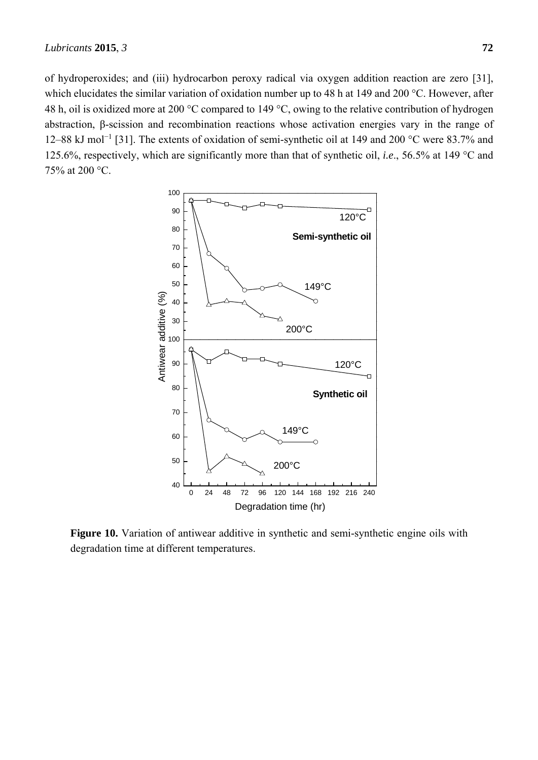of hydroperoxides; and (iii) hydrocarbon peroxy radical via oxygen addition reaction are zero [31], which elucidates the similar variation of oxidation number up to 48 h at 149 and 200 °C. However, after 48 h, oil is oxidized more at 200 °C compared to 149 °C, owing to the relative contribution of hydrogen abstraction, β-scission and recombination reactions whose activation energies vary in the range of 12–88 kJ mol<sup>-1</sup> [31]. The extents of oxidation of semi-synthetic oil at 149 and 200 °C were 83.7% and 125.6%, respectively, which are significantly more than that of synthetic oil, *i.e*., 56.5% at 149 °C and 75% at 200 °C.



**Figure 10.** Variation of antiwear additive in synthetic and semi-synthetic engine oils with degradation time at different temperatures.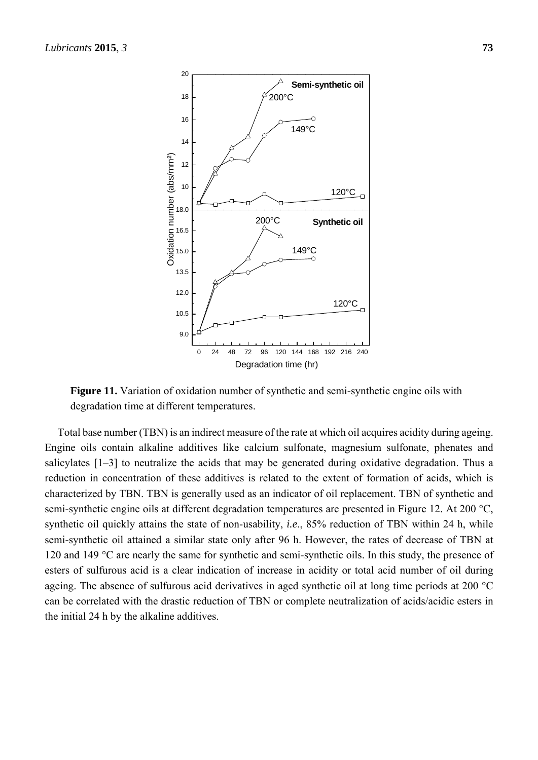

**Figure 11.** Variation of oxidation number of synthetic and semi-synthetic engine oils with degradation time at different temperatures.

Total base number (TBN) is an indirect measure of the rate at which oil acquires acidity during ageing. Engine oils contain alkaline additives like calcium sulfonate, magnesium sulfonate, phenates and salicylates [1–3] to neutralize the acids that may be generated during oxidative degradation. Thus a reduction in concentration of these additives is related to the extent of formation of acids, which is characterized by TBN. TBN is generally used as an indicator of oil replacement. TBN of synthetic and semi-synthetic engine oils at different degradation temperatures are presented in Figure 12. At 200 °C, synthetic oil quickly attains the state of non-usability, *i.e.*, 85% reduction of TBN within 24 h, while semi-synthetic oil attained a similar state only after 96 h. However, the rates of decrease of TBN at 120 and 149 °C are nearly the same for synthetic and semi-synthetic oils. In this study, the presence of esters of sulfurous acid is a clear indication of increase in acidity or total acid number of oil during ageing. The absence of sulfurous acid derivatives in aged synthetic oil at long time periods at 200 °C can be correlated with the drastic reduction of TBN or complete neutralization of acids/acidic esters in the initial 24 h by the alkaline additives.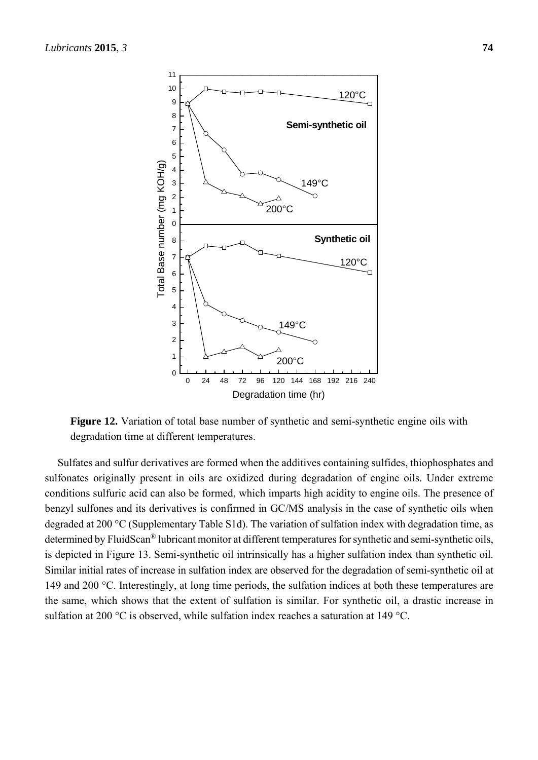

**Figure 12.** Variation of total base number of synthetic and semi-synthetic engine oils with degradation time at different temperatures.

Sulfates and sulfur derivatives are formed when the additives containing sulfides, thiophosphates and sulfonates originally present in oils are oxidized during degradation of engine oils. Under extreme conditions sulfuric acid can also be formed, which imparts high acidity to engine oils. The presence of benzyl sulfones and its derivatives is confirmed in GC/MS analysis in the case of synthetic oils when degraded at 200 °C (Supplementary Table S1d). The variation of sulfation index with degradation time, as determined by FluidScan® lubricant monitor at different temperatures for synthetic and semi-synthetic oils, is depicted in Figure 13. Semi-synthetic oil intrinsically has a higher sulfation index than synthetic oil. Similar initial rates of increase in sulfation index are observed for the degradation of semi-synthetic oil at 149 and 200 °C. Interestingly, at long time periods, the sulfation indices at both these temperatures are the same, which shows that the extent of sulfation is similar. For synthetic oil, a drastic increase in sulfation at 200 °C is observed, while sulfation index reaches a saturation at 149 °C.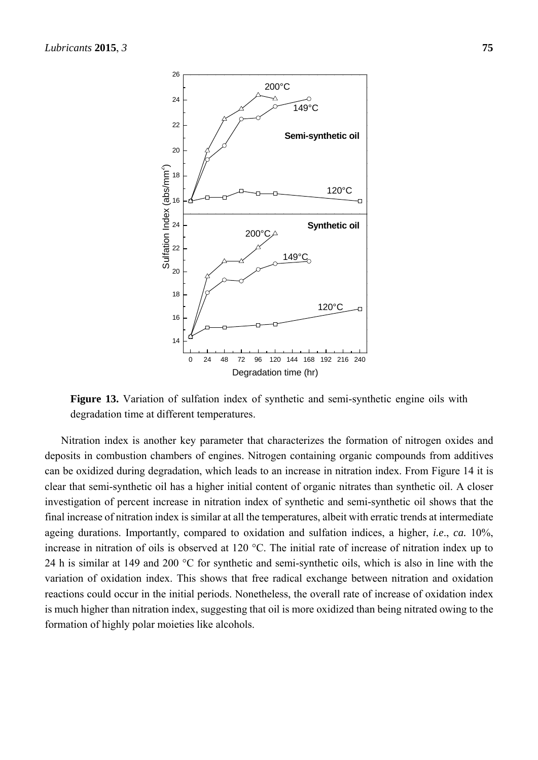

**Figure 13.** Variation of sulfation index of synthetic and semi-synthetic engine oils with degradation time at different temperatures.

Nitration index is another key parameter that characterizes the formation of nitrogen oxides and deposits in combustion chambers of engines. Nitrogen containing organic compounds from additives can be oxidized during degradation, which leads to an increase in nitration index. From Figure 14 it is clear that semi-synthetic oil has a higher initial content of organic nitrates than synthetic oil. A closer investigation of percent increase in nitration index of synthetic and semi-synthetic oil shows that the final increase of nitration index is similar at all the temperatures, albeit with erratic trends at intermediate ageing durations. Importantly, compared to oxidation and sulfation indices, a higher, *i.e*., *ca.* 10%, increase in nitration of oils is observed at 120 °C. The initial rate of increase of nitration index up to 24 h is similar at 149 and 200 °C for synthetic and semi-synthetic oils, which is also in line with the variation of oxidation index. This shows that free radical exchange between nitration and oxidation reactions could occur in the initial periods. Nonetheless, the overall rate of increase of oxidation index is much higher than nitration index, suggesting that oil is more oxidized than being nitrated owing to the formation of highly polar moieties like alcohols.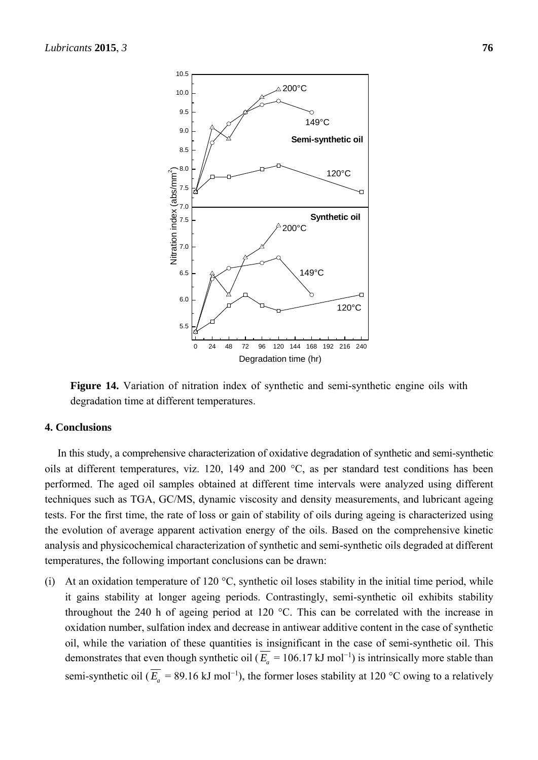

**Figure 14.** Variation of nitration index of synthetic and semi-synthetic engine oils with degradation time at different temperatures.

### **4. Conclusions**

In this study, a comprehensive characterization of oxidative degradation of synthetic and semi-synthetic oils at different temperatures, viz. 120, 149 and 200 °C, as per standard test conditions has been performed. The aged oil samples obtained at different time intervals were analyzed using different techniques such as TGA, GC/MS, dynamic viscosity and density measurements, and lubricant ageing tests. For the first time, the rate of loss or gain of stability of oils during ageing is characterized using the evolution of average apparent activation energy of the oils. Based on the comprehensive kinetic analysis and physicochemical characterization of synthetic and semi-synthetic oils degraded at different temperatures, the following important conclusions can be drawn:

(i) At an oxidation temperature of 120  $\degree$ C, synthetic oil loses stability in the initial time period, while it gains stability at longer ageing periods. Contrastingly, semi-synthetic oil exhibits stability throughout the 240 h of ageing period at 120 °C. This can be correlated with the increase in oxidation number, sulfation index and decrease in antiwear additive content in the case of synthetic oil, while the variation of these quantities is insignificant in the case of semi-synthetic oil. This demonstrates that even though synthetic oil ( $\overline{E_a}$  = 106.17 kJ mol<sup>-1</sup>) is intrinsically more stable than semi-synthetic oil ( $\overline{E_a}$  = 89.16 kJ mol<sup>-1</sup>), the former loses stability at 120 °C owing to a relatively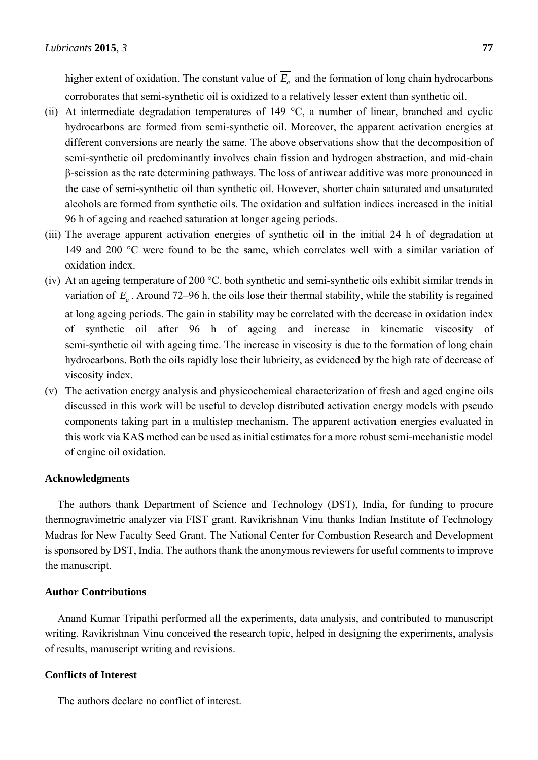higher extent of oxidation. The constant value of  $\overline{E}_a$  and the formation of long chain hydrocarbons corroborates that semi-synthetic oil is oxidized to a relatively lesser extent than synthetic oil.

- (ii) At intermediate degradation temperatures of 149  $\degree$ C, a number of linear, branched and cyclic hydrocarbons are formed from semi-synthetic oil. Moreover, the apparent activation energies at different conversions are nearly the same. The above observations show that the decomposition of semi-synthetic oil predominantly involves chain fission and hydrogen abstraction, and mid-chain β-scission as the rate determining pathways. The loss of antiwear additive was more pronounced in the case of semi-synthetic oil than synthetic oil. However, shorter chain saturated and unsaturated alcohols are formed from synthetic oils. The oxidation and sulfation indices increased in the initial 96 h of ageing and reached saturation at longer ageing periods.
- (iii) The average apparent activation energies of synthetic oil in the initial 24 h of degradation at 149 and 200 °C were found to be the same, which correlates well with a similar variation of oxidation index.
- (iv) At an ageing temperature of 200 °C, both synthetic and semi-synthetic oils exhibit similar trends in variation of  $\overline{E_a}$ . Around 72–96 h, the oils lose their thermal stability, while the stability is regained at long ageing periods. The gain in stability may be correlated with the decrease in oxidation index of synthetic oil after 96 h of ageing and increase in kinematic viscosity of semi-synthetic oil with ageing time. The increase in viscosity is due to the formation of long chain hydrocarbons. Both the oils rapidly lose their lubricity, as evidenced by the high rate of decrease of viscosity index.
- (v) The activation energy analysis and physicochemical characterization of fresh and aged engine oils discussed in this work will be useful to develop distributed activation energy models with pseudo components taking part in a multistep mechanism. The apparent activation energies evaluated in this work via KAS method can be used as initial estimates for a more robust semi-mechanistic model of engine oil oxidation.

# **Acknowledgments**

The authors thank Department of Science and Technology (DST), India, for funding to procure thermogravimetric analyzer via FIST grant. Ravikrishnan Vinu thanks Indian Institute of Technology Madras for New Faculty Seed Grant. The National Center for Combustion Research and Development is sponsored by DST, India. The authors thank the anonymous reviewers for useful comments to improve the manuscript.

# **Author Contributions**

Anand Kumar Tripathi performed all the experiments, data analysis, and contributed to manuscript writing. Ravikrishnan Vinu conceived the research topic, helped in designing the experiments, analysis of results, manuscript writing and revisions.

#### **Conflicts of Interest**

The authors declare no conflict of interest.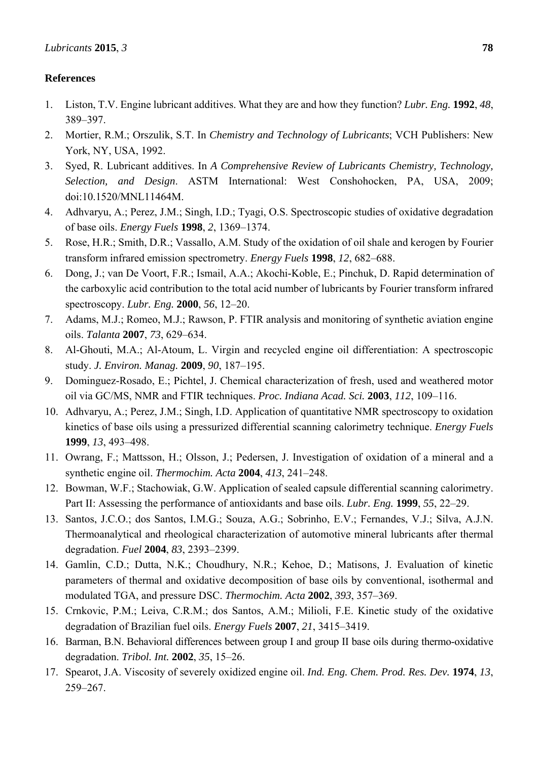# **References**

- 1. Liston, T.V. Engine lubricant additives. What they are and how they function? *Lubr. Eng.* **1992**, *48*, 389–397.
- 2. Mortier, R.M.; Orszulik, S.T. In *Chemistry and Technology of Lubricants*; VCH Publishers: New York, NY, USA, 1992.
- 3. Syed, R. Lubricant additives. In *A Comprehensive Review of Lubricants Chemistry, Technology, Selection, and Design*. ASTM International: West Conshohocken, PA, USA, 2009; doi:10.1520/MNL11464M.
- 4. Adhvaryu, A.; Perez, J.M.; Singh, I.D.; Tyagi, O.S. Spectroscopic studies of oxidative degradation of base oils. *Energy Fuels* **1998**, *2*, 1369–1374.
- 5. Rose, H.R.; Smith, D.R.; Vassallo, A.M. Study of the oxidation of oil shale and kerogen by Fourier transform infrared emission spectrometry. *Energy Fuels* **1998**, *12*, 682–688.
- 6. Dong, J.; van De Voort, F.R.; Ismail, A.A.; Akochi-Koble, E.; Pinchuk, D. Rapid determination of the carboxylic acid contribution to the total acid number of lubricants by Fourier transform infrared spectroscopy. *Lubr. Eng.* **2000**, *56*, 12–20.
- 7. Adams, M.J.; Romeo, M.J.; Rawson, P. FTIR analysis and monitoring of synthetic aviation engine oils. *Talanta* **2007**, *73*, 629–634.
- 8. Al-Ghouti, M.A.; Al-Atoum, L. Virgin and recycled engine oil differentiation: A spectroscopic study. *J. Environ. Manag.* **2009**, *90*, 187–195.
- 9. Dominguez-Rosado, E.; Pichtel, J. Chemical characterization of fresh, used and weathered motor oil via GC/MS, NMR and FTIR techniques. *Proc. Indiana Acad. Sci.* **2003**, *112*, 109–116.
- 10. Adhvaryu, A.; Perez, J.M.; Singh, I.D. Application of quantitative NMR spectroscopy to oxidation kinetics of base oils using a pressurized differential scanning calorimetry technique. *Energy Fuels*  **1999**, *13*, 493–498.
- 11. Owrang, F.; Mattsson, H.; Olsson, J.; Pedersen, J. Investigation of oxidation of a mineral and a synthetic engine oil. *Thermochim. Acta* **2004**, *413*, 241–248.
- 12. Bowman, W.F.; Stachowiak, G.W. Application of sealed capsule differential scanning calorimetry. Part II: Assessing the performance of antioxidants and base oils. *Lubr. Eng.* **1999**, *55*, 22–29.
- 13. Santos, J.C.O.; dos Santos, I.M.G.; Souza, A.G.; Sobrinho, E.V.; Fernandes, V.J.; Silva, A.J.N. Thermoanalytical and rheological characterization of automotive mineral lubricants after thermal degradation. *Fuel* **2004**, *83*, 2393–2399.
- 14. Gamlin, C.D.; Dutta, N.K.; Choudhury, N.R.; Kehoe, D.; Matisons, J. Evaluation of kinetic parameters of thermal and oxidative decomposition of base oils by conventional, isothermal and modulated TGA, and pressure DSC. *Thermochim. Acta* **2002**, *393*, 357–369.
- 15. Crnkovic, P.M.; Leiva, C.R.M.; dos Santos, A.M.; Milioli, F.E. Kinetic study of the oxidative degradation of Brazilian fuel oils. *Energy Fuels* **2007**, *21*, 3415–3419.
- 16. Barman, B.N. Behavioral differences between group I and group II base oils during thermo-oxidative degradation. *Tribol. Int.* **2002**, *35*, 15–26.
- 17. Spearot, J.A. Viscosity of severely oxidized engine oil. *Ind. Eng. Chem. Prod. Res. Dev.* **1974**, *13*, 259–267.